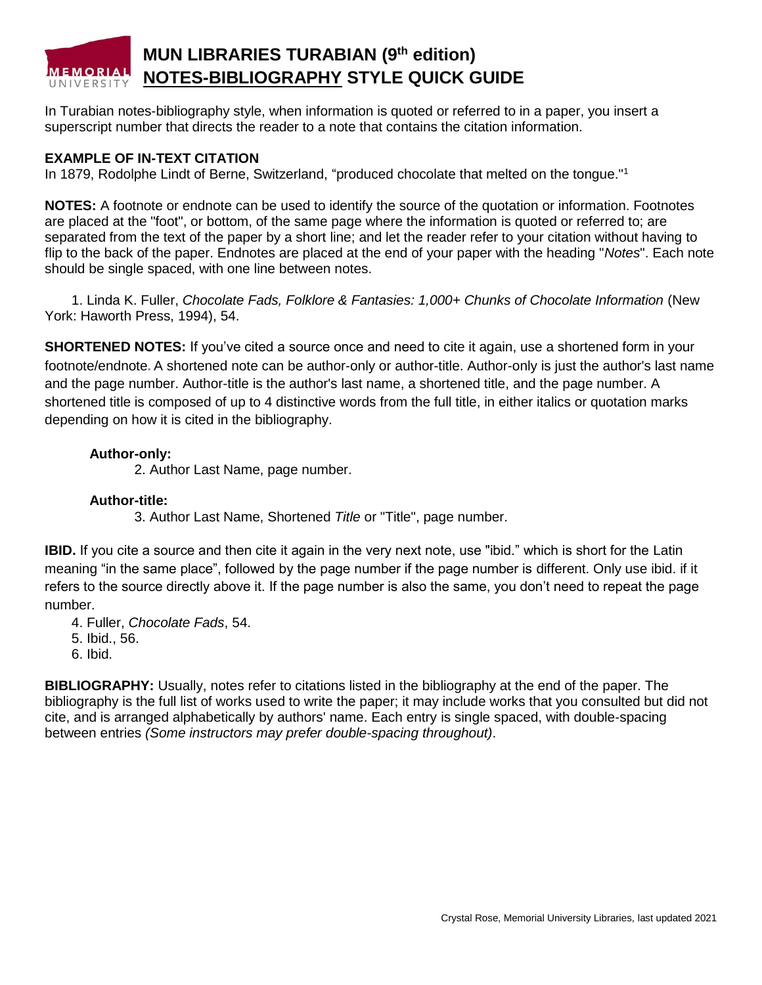# **MUN LIBRARIES TURABIAN (9th edition) MEMORIAL NOTES-BIBLIOGRAPHY STYLE QUICK GUIDE**

In Turabian notes-bibliography style, when information is quoted or referred to in a paper, you insert a superscript number that directs the reader to a note that contains the citation information.

## **EXAMPLE OF IN-TEXT CITATION**

In 1879, Rodolphe Lindt of Berne, Switzerland, "produced chocolate that melted on the tongue."<sup>1</sup>

**NOTES:** A footnote or endnote can be used to identify the source of the quotation or information. Footnotes are placed at the "foot", or bottom, of the same page where the information is quoted or referred to; are separated from the text of the paper by a short line; and let the reader refer to your citation without having to flip to the back of the paper. Endnotes are placed at the end of your paper with the heading "*Notes*". Each note should be single spaced, with one line between notes.

1. Linda K. Fuller, *Chocolate Fads, Folklore & Fantasies: 1,000+ Chunks of Chocolate Information* (New York: Haworth Press, 1994), 54.

**SHORTENED NOTES:** If you've cited a source once and need to cite it again, use a shortened form in your footnote/endnote**.** A shortened note can be author-only or author-title. Author-only is just the author's last name and the page number. Author-title is the author's last name, a shortened title, and the page number. A shortened title is composed of up to 4 distinctive words from the full title, in either italics or quotation marks depending on how it is cited in the bibliography.

## **Author-only:**

2. Author Last Name, page number.

## **Author-title:**

3. Author Last Name, Shortened *Title* or "Title", page number.

**IBID.** If you cite a source and then cite it again in the very next note, use "ibid." which is short for the Latin meaning "in the same place", followed by the page number if the page number is different. Only use ibid. if it refers to the source directly above it. If the page number is also the same, you don't need to repeat the page number.

- 4. Fuller, *Chocolate Fads*, 54.
- 5. Ibid., 56.
- 6. Ibid.

**BIBLIOGRAPHY:** Usually, notes refer to citations listed in the bibliography at the end of the paper. The bibliography is the full list of works used to write the paper; it may include works that you consulted but did not cite, and is arranged alphabetically by authors' name. Each entry is single spaced, with double-spacing between entries *(Some instructors may prefer double-spacing throughout)*.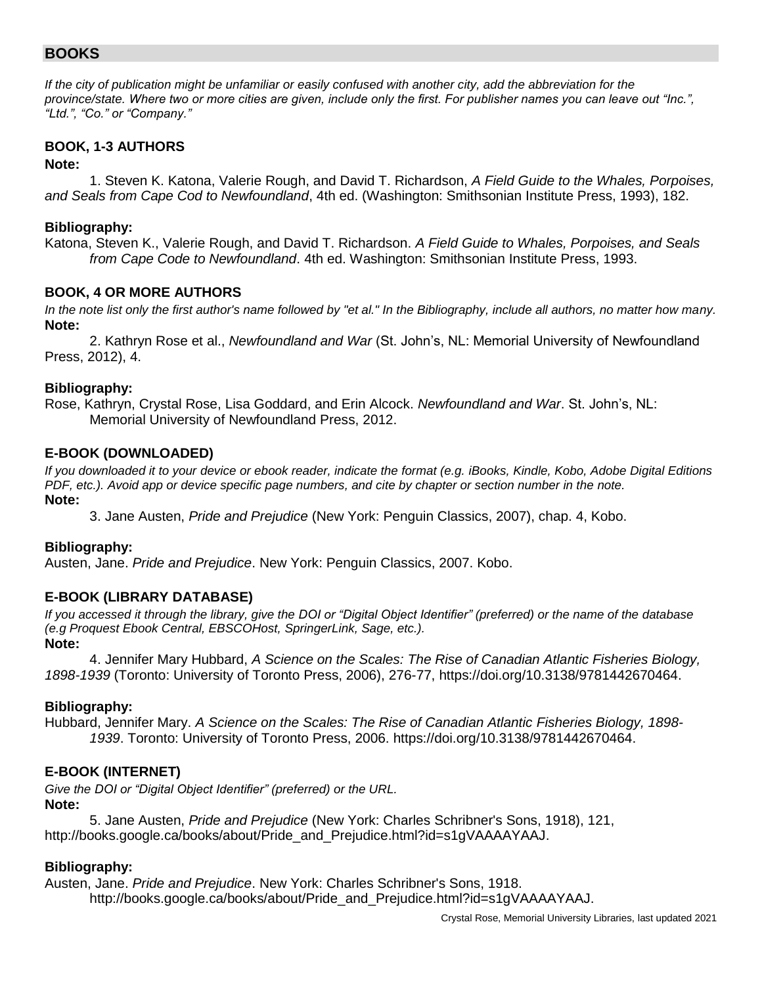## **BOOKS**

*If the city of publication might be unfamiliar or easily confused with another city, add the abbreviation for the province/state. Where two or more cities are given, include only the first. For publisher names you can leave out "Inc.", "Ltd.", "Co." or "Company."*

## **BOOK, 1-3 AUTHORS**

## **Note:**

1. Steven K. Katona, Valerie Rough, and David T. Richardson, *A Field Guide to the Whales, Porpoises, and Seals from Cape Cod to Newfoundland*, 4th ed. (Washington: Smithsonian Institute Press, 1993), 182.

#### **Bibliography:**

Katona, Steven K., Valerie Rough, and David T. Richardson. *A Field Guide to Whales, Porpoises, and Seals from Cape Code to Newfoundland*. 4th ed. Washington: Smithsonian Institute Press, 1993.

## **BOOK, 4 OR MORE AUTHORS**

*In the note list only the first author's name followed by "et al." In the Bibliography, include all authors, no matter how many.* **Note:**

2. Kathryn Rose et al., *Newfoundland and War* (St. John's, NL: Memorial University of Newfoundland Press, 2012), 4.

## **Bibliography:**

Rose, Kathryn, Crystal Rose, Lisa Goddard, and Erin Alcock. *Newfoundland and War*. St. John's, NL: Memorial University of Newfoundland Press, 2012.

## **E-BOOK (DOWNLOADED)**

*If you downloaded it to your device or ebook reader, indicate the format (e.g. iBooks, Kindle, Kobo, Adobe Digital Editions PDF, etc.). Avoid app or device specific page numbers, and cite by chapter or section number in the note.* **Note:**

3. Jane Austen, *Pride and Prejudice* (New York: Penguin Classics, 2007), chap. 4, Kobo.

## **Bibliography:**

Austen, Jane. *Pride and Prejudice*. New York: Penguin Classics, 2007. Kobo.

## **E-BOOK (LIBRARY DATABASE)**

*If you accessed it through the library, give the DOI or "Digital Object Identifier" (preferred) or the name of the database (e.g Proquest Ebook Central, EBSCOHost, SpringerLink, Sage, etc.).*  **Note:**

4. Jennifer Mary Hubbard, *A Science on the Scales: The Rise of Canadian Atlantic Fisheries Biology, 1898-1939* (Toronto: University of Toronto Press, 2006), 276-77, https://doi.org/10.3138/9781442670464.

## **Bibliography:**

Hubbard, Jennifer Mary. *A Science on the Scales: The Rise of Canadian Atlantic Fisheries Biology, 1898- 1939*. Toronto: University of Toronto Press, 2006. https://doi.org/10.3138/9781442670464.

## **E-BOOK (INTERNET)**

*Give the DOI or "Digital Object Identifier" (preferred) or the URL.* **Note:**

5. Jane Austen, *Pride and Prejudice* (New York: Charles Schribner's Sons, 1918), 121, http://books.google.ca/books/about/Pride\_and\_Prejudice.html?id=s1gVAAAAYAAJ.

## **Bibliography:**

Austen, Jane. *Pride and Prejudice*. New York: Charles Schribner's Sons, 1918.

http://books.google.ca/books/about/Pride\_and\_Prejudice.html?id=s1gVAAAAYAAJ.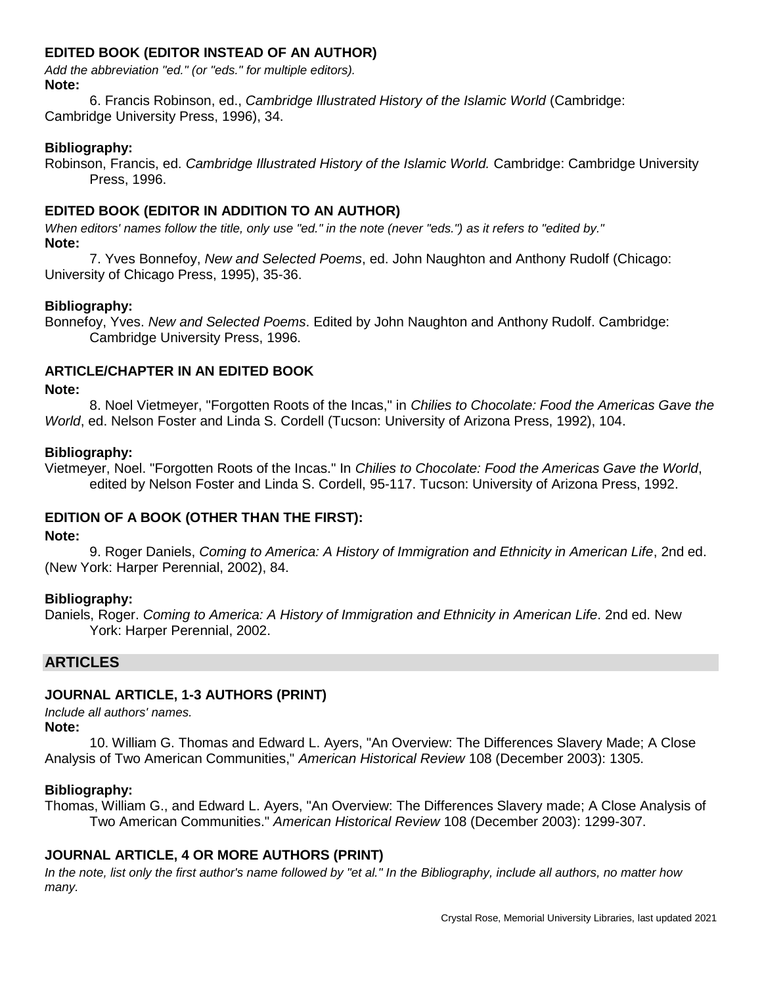## **EDITED BOOK (EDITOR INSTEAD OF AN AUTHOR)**

*Add the abbreviation "ed." (or "eds." for multiple editors).* **Note:**

6. Francis Robinson, ed., *Cambridge Illustrated History of the Islamic World* (Cambridge: Cambridge University Press, 1996), 34.

#### **Bibliography:**

Robinson, Francis, ed. *Cambridge Illustrated History of the Islamic World.* Cambridge: Cambridge University Press, 1996.

## **EDITED BOOK (EDITOR IN ADDITION TO AN AUTHOR)**

*When editors' names follow the title, only use "ed." in the note (never "eds.") as it refers to "edited by."* **Note:**

7. Yves Bonnefoy, *New and Selected Poems*, ed. John Naughton and Anthony Rudolf (Chicago: University of Chicago Press, 1995), 35-36.

## **Bibliography:**

Bonnefoy, Yves. *New and Selected Poems*. Edited by John Naughton and Anthony Rudolf. Cambridge: Cambridge University Press, 1996.

#### **ARTICLE/CHAPTER IN AN EDITED BOOK**

#### **Note:**

8. Noel Vietmeyer, "Forgotten Roots of the Incas," in *Chilies to Chocolate: Food the Americas Gave the World*, ed. Nelson Foster and Linda S. Cordell (Tucson: University of Arizona Press, 1992), 104.

#### **Bibliography:**

Vietmeyer, Noel. "Forgotten Roots of the Incas." In *Chilies to Chocolate: Food the Americas Gave the World*, edited by Nelson Foster and Linda S. Cordell, 95-117. Tucson: University of Arizona Press, 1992.

## **EDITION OF A BOOK (OTHER THAN THE FIRST):**

#### **Note:**

9. Roger Daniels, *Coming to America: A History of Immigration and Ethnicity in American Life*, 2nd ed. (New York: Harper Perennial, 2002), 84.

#### **Bibliography:**

Daniels, Roger. *Coming to America: A History of Immigration and Ethnicity in American Life*. 2nd ed. New York: Harper Perennial, 2002.

#### **ARTICLES**

## **JOURNAL ARTICLE, 1-3 AUTHORS (PRINT)**

*Include all authors' names.*

**Note:**

10. William G. Thomas and Edward L. Ayers, "An Overview: The Differences Slavery Made; A Close Analysis of Two American Communities," *American Historical Review* 108 (December 2003): 1305.

#### **Bibliography:**

Thomas, William G., and Edward L. Ayers, "An Overview: The Differences Slavery made; A Close Analysis of Two American Communities." *American Historical Review* 108 (December 2003): 1299-307.

## **JOURNAL ARTICLE, 4 OR MORE AUTHORS (PRINT)**

*In the note, list only the first author's name followed by "et al." In the Bibliography, include all authors, no matter how many.*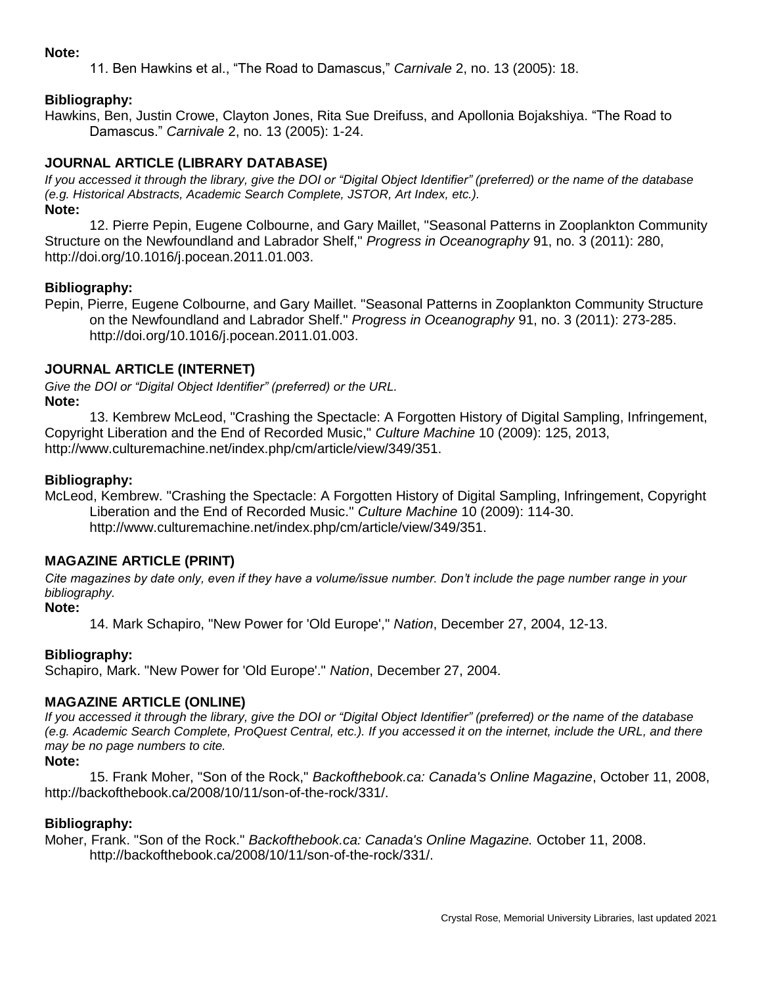#### **Note:**

11. Ben Hawkins et al., "The Road to Damascus," *Carnivale* 2, no. 13 (2005): 18.

## **Bibliography:**

Hawkins, Ben, Justin Crowe, Clayton Jones, Rita Sue Dreifuss, and Apollonia Bojakshiya. "The Road to Damascus." *Carnivale* 2, no. 13 (2005): 1-24.

## **JOURNAL ARTICLE (LIBRARY DATABASE)**

*If you accessed it through the library, give the DOI or "Digital Object Identifier" (preferred) or the name of the database (e.g. Historical Abstracts, Academic Search Complete, JSTOR, Art Index, etc.).* **Note:**

12. Pierre Pepin, Eugene Colbourne, and Gary Maillet, "Seasonal Patterns in Zooplankton Community Structure on the Newfoundland and Labrador Shelf," *Progress in Oceanography* 91, no. 3 (2011): 280, http://doi.org/10.1016/j.pocean.2011.01.003.

#### **Bibliography:**

Pepin, Pierre, Eugene Colbourne, and Gary Maillet. "Seasonal Patterns in Zooplankton Community Structure on the Newfoundland and Labrador Shelf." *Progress in Oceanography* 91, no. 3 (2011): 273-285. http://doi.org/10.1016/j.pocean.2011.01.003.

#### **JOURNAL ARTICLE (INTERNET)**

*Give the DOI or "Digital Object Identifier" (preferred) or the URL.* **Note:**

13. Kembrew McLeod, "Crashing the Spectacle: A Forgotten History of Digital Sampling, Infringement, Copyright Liberation and the End of Recorded Music," *Culture Machine* 10 (2009): 125, 2013, http://www.culturemachine.net/index.php/cm/article/view/349/351.

#### **Bibliography:**

McLeod, Kembrew. "Crashing the Spectacle: A Forgotten History of Digital Sampling, Infringement, Copyright Liberation and the End of Recorded Music." *Culture Machine* 10 (2009): 114-30. http://www.culturemachine.net/index.php/cm/article/view/349/351.

## **MAGAZINE ARTICLE (PRINT)**

*Cite magazines by date only, even if they have a volume/issue number. Don't include the page number range in your bibliography.*

## **Note:**

14. Mark Schapiro, "New Power for 'Old Europe'," *Nation*, December 27, 2004, 12-13.

#### **Bibliography:**

Schapiro, Mark. "New Power for 'Old Europe'." *Nation*, December 27, 2004.

## **MAGAZINE ARTICLE (ONLINE)**

*If you accessed it through the library, give the DOI or "Digital Object Identifier" (preferred) or the name of the database (e.g. Academic Search Complete, ProQuest Central, etc.). If you accessed it on the internet, include the URL, and there may be no page numbers to cite.*

#### **Note:**

15. Frank Moher, "Son of the Rock," *Backofthebook.ca: Canada's Online Magazine*, October 11, 2008, http://backofthebook.ca/2008/10/11/son-of-the-rock/331/.

#### **Bibliography:**

Moher, Frank. "Son of the Rock." *Backofthebook.ca: Canada's Online Magazine.* October 11, 2008. http://backofthebook.ca/2008/10/11/son-of-the-rock/331/.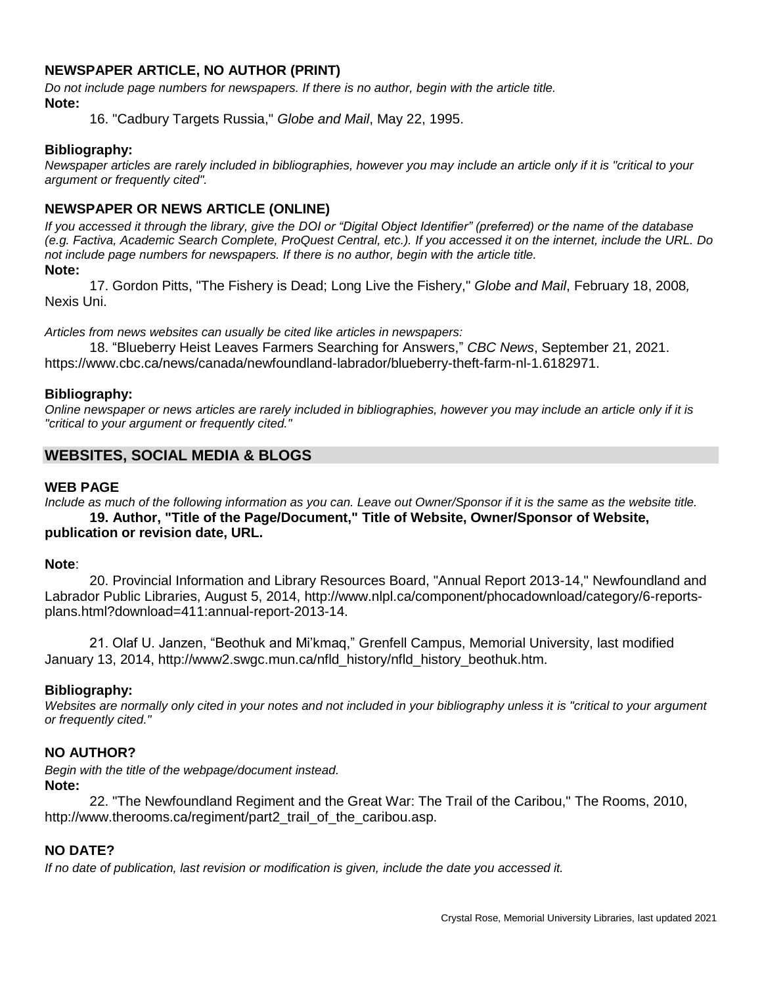## **NEWSPAPER ARTICLE, NO AUTHOR (PRINT)**

*Do not include page numbers for newspapers. If there is no author, begin with the article title.*  **Note:**

16. "Cadbury Targets Russia," *Globe and Mail*, May 22, 1995.

#### **Bibliography:**

*Newspaper articles are rarely included in bibliographies, however you may include an article only if it is "critical to your argument or frequently cited".*

## **NEWSPAPER OR NEWS ARTICLE (ONLINE)**

*If you accessed it through the library, give the DOI or "Digital Object Identifier" (preferred) or the name of the database (e.g. Factiva, Academic Search Complete, ProQuest Central, etc.). If you accessed it on the internet, include the URL. Do not include page numbers for newspapers. If there is no author, begin with the article title.*  **Note:**

17. Gordon Pitts, "The Fishery is Dead; Long Live the Fishery," *Globe and Mail*, February 18, 2008*,*  Nexis Uni.

*Articles from news websites can usually be cited like articles in newspapers:*

18. "Blueberry Heist Leaves Farmers Searching for Answers," *CBC News*, September 21, 2021. https://www.cbc.ca/news/canada/newfoundland-labrador/blueberry-theft-farm-nl-1.6182971.

#### **Bibliography:**

*Online newspaper or news articles are rarely included in bibliographies, however you may include an article only if it is "critical to your argument or frequently cited."*

## **WEBSITES, SOCIAL MEDIA & BLOGS**

#### **WEB PAGE**

*Include as much of the following information as you can. Leave out Owner/Sponsor if it is the same as the website title.*

**19. Author, "Title of the Page/Document," Title of Website, Owner/Sponsor of Website, publication or revision date, URL.**

#### **Note**:

20. Provincial Information and Library Resources Board, "Annual Report 2013-14," Newfoundland and Labrador Public Libraries, August 5, 2014, http://www.nlpl.ca/component/phocadownload/category/6-reportsplans.html?download=411:annual-report-2013-14.

21. Olaf U. Janzen, "Beothuk and Mi'kmaq," Grenfell Campus, Memorial University, last modified January 13, 2014, http://www2.swgc.mun.ca/nfld\_history/nfld\_history\_beothuk.htm.

#### **Bibliography:**

*Websites are normally only cited in your notes and not included in your bibliography unless it is "critical to your argument or frequently cited."*

## **NO AUTHOR?**

*Begin with the title of the webpage/document instead.* **Note:**

22. "The Newfoundland Regiment and the Great War: The Trail of the Caribou," The Rooms, 2010, http://www.therooms.ca/regiment/part2\_trail\_of\_the\_caribou.asp.

#### **NO DATE?**

*If no date of publication, last revision or modification is given, include the date you accessed it.*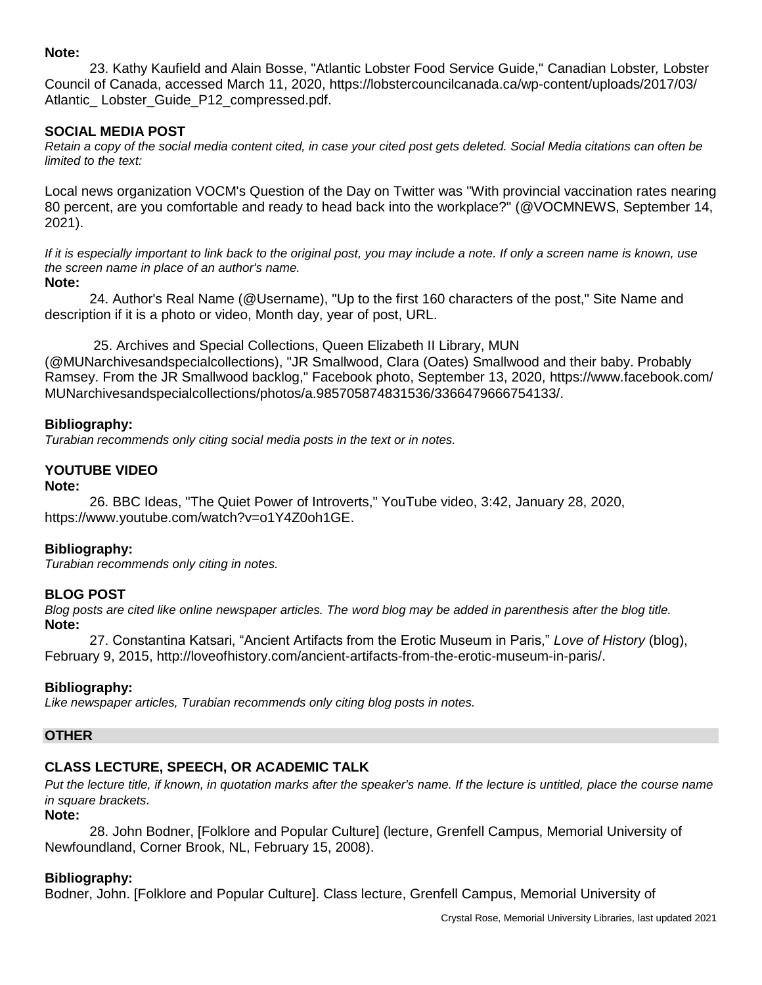#### **Note:**

23. Kathy Kaufield and Alain Bosse, "Atlantic Lobster Food Service Guide," Canadian Lobster*,* Lobster Council of Canada, accessed March 11, 2020, https://lobstercouncilcanada.ca/wp-content/uploads/2017/03/ Atlantic Lobster Guide P12 compressed.pdf.

## **SOCIAL MEDIA POST**

*Retain a copy of the social media content cited, in case your cited post gets deleted. Social Media citations can often be limited to the text:*

Local news organization VOCM's Question of the Day on Twitter was "With provincial vaccination rates nearing 80 percent, are you comfortable and ready to head back into the workplace?" (@VOCMNEWS, September 14, 2021).

*If it is especially important to link back to the original post, you may include a note. If only a screen name is known, use the screen name in place of an author's name.*

#### **Note:**

24. Author's Real Name (@Username), "Up to the first 160 characters of the post," Site Name and description if it is a photo or video, Month day, year of post, URL.

25. Archives and Special Collections, Queen Elizabeth II Library, MUN (@MUNarchivesandspecialcollections), "JR Smallwood, Clara (Oates) Smallwood and their baby. Probably Ramsey. From the JR Smallwood backlog," Facebook photo, September 13, 2020, https://www.facebook.com/ MUNarchivesandspecialcollections/photos/a.985705874831536/3366479666754133/.

## **Bibliography:**

*Turabian recommends only citing social media posts in the text or in notes.*

## **YOUTUBE VIDEO**

**Note:**

26. BBC Ideas, "The Quiet Power of Introverts," YouTube video, 3:42, January 28, 2020, https://www.youtube.com/watch?v=o1Y4Z0oh1GE.

#### **Bibliography:**

*Turabian recommends only citing in notes.*

## **BLOG POST**

*Blog posts are cited like online newspaper articles. The word blog may be added in parenthesis after the blog title.* **Note:**

27. Constantina Katsari, "Ancient Artifacts from the Erotic Museum in Paris," *Love of History* (blog), February 9, 2015, http://loveofhistory.com/ancient-artifacts-from-the-erotic-museum-in-paris/.

## **Bibliography:**

*Like newspaper articles, Turabian recommends only citing blog posts in notes.*

#### **OTHER**

## **CLASS LECTURE, SPEECH, OR ACADEMIC TALK**

Put the lecture title, if known, in quotation marks after the speaker's name. If the lecture is untitled, place the course name *in square brackets.*

#### **Note:**

28. John Bodner, [Folklore and Popular Culture] (lecture, Grenfell Campus, Memorial University of Newfoundland, Corner Brook, NL, February 15, 2008).

#### **Bibliography:**

Bodner, John. [Folklore and Popular Culture]. Class lecture, Grenfell Campus, Memorial University of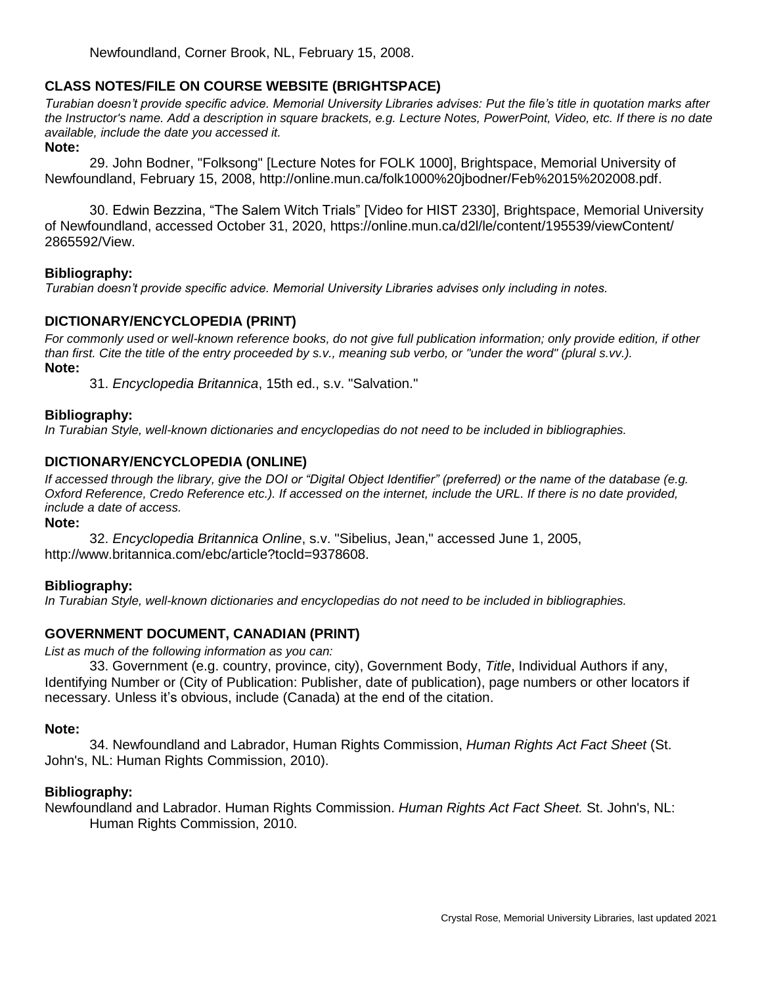## **CLASS NOTES/FILE ON COURSE WEBSITE (BRIGHTSPACE)**

*Turabian doesn't provide specific advice. Memorial University Libraries advises: Put the file's title in quotation marks after the Instructor's name. Add a description in square brackets, e.g. Lecture Notes, PowerPoint, Video, etc. If there is no date available, include the date you accessed it.*

#### **Note:**

29. John Bodner, "Folksong" [Lecture Notes for FOLK 1000], Brightspace, Memorial University of Newfoundland, February 15, 2008, http://online.mun.ca/folk1000%20jbodner/Feb%2015%202008.pdf.

30. Edwin Bezzina, "The Salem Witch Trials" [Video for HIST 2330], Brightspace, Memorial University of Newfoundland, accessed October 31, 2020, https://online.mun.ca/d2l/le/content/195539/viewContent/ 2865592/View.

#### **Bibliography:**

*Turabian doesn't provide specific advice. Memorial University Libraries advises only including in notes.*

## **DICTIONARY/ENCYCLOPEDIA (PRINT)**

*For commonly used or well-known reference books, do not give full publication information; only provide edition, if other than first. Cite the title of the entry proceeded by s.v., meaning sub verbo, or "under the word" (plural s.vv.).* **Note:**

31. *Encyclopedia Britannica*, 15th ed., s.v. "Salvation."

#### **Bibliography:**

*In Turabian Style, well-known dictionaries and encyclopedias do not need to be included in bibliographies.*

#### **DICTIONARY/ENCYCLOPEDIA (ONLINE)**

*If accessed through the library, give the DOI or "Digital Object Identifier" (preferred) or the name of the database (e.g. Oxford Reference, Credo Reference etc.). If accessed on the internet, include the URL. If there is no date provided, include a date of access.*

#### **Note:**

32. *Encyclopedia Britannica Online*, s.v. "Sibelius, Jean," accessed June 1, 2005, http://www.britannica.com/ebc/article?tocld=9378608.

#### **Bibliography:**

*In Turabian Style, well-known dictionaries and encyclopedias do not need to be included in bibliographies.*

## **GOVERNMENT DOCUMENT, CANADIAN (PRINT)**

*List as much of the following information as you can:*

33. Government (e.g. country, province, city), Government Body, *Title*, Individual Authors if any, Identifying Number or (City of Publication: Publisher, date of publication), page numbers or other locators if necessary. Unless it's obvious, include (Canada) at the end of the citation.

#### **Note:**

34. Newfoundland and Labrador, Human Rights Commission, *Human Rights Act Fact Sheet* (St. John's, NL: Human Rights Commission, 2010).

#### **Bibliography:**

Newfoundland and Labrador. Human Rights Commission. *Human Rights Act Fact Sheet.* St. John's, NL: Human Rights Commission, 2010.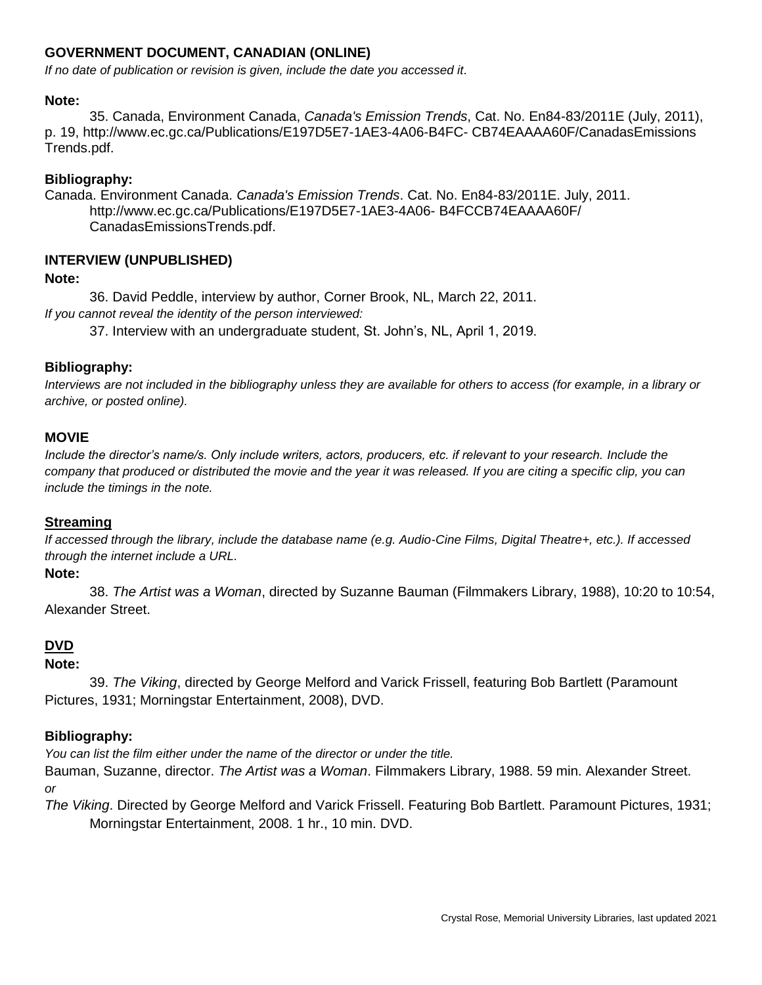## **GOVERNMENT DOCUMENT, CANADIAN (ONLINE)**

*If no date of publication or revision is given, include the date you accessed it.*

## **Note:**

35. Canada, Environment Canada, *Canada's Emission Trends*, Cat. No. En84-83/2011E (July, 2011), p. 19, http://www.ec.gc.ca/Publications/E197D5E7-1AE3-4A06-B4FC- CB74EAAAA60F/CanadasEmissions Trends.pdf.

## **Bibliography:**

Canada. Environment Canada. *Canada's Emission Trends*. Cat. No. En84-83/2011E. July, 2011. http://www.ec.gc.ca/Publications/E197D5E7-1AE3-4A06- B4FCCB74EAAAA60F/ CanadasEmissionsTrends.pdf.

## **INTERVIEW (UNPUBLISHED)**

## **Note:**

36. David Peddle, interview by author, Corner Brook, NL, March 22, 2011. *If you cannot reveal the identity of the person interviewed:*

37. Interview with an undergraduate student, St. John's, NL, April 1, 2019.

## **Bibliography:**

*Interviews are not included in the bibliography unless they are available for others to access (for example, in a library or archive, or posted online).*

#### **MOVIE**

*Include the director's name/s. Only include writers, actors, producers, etc. if relevant to your research. Include the company that produced or distributed the movie and the year it was released. If you are citing a specific clip, you can include the timings in the note.*

#### **Streaming**

*If accessed through the library, include the database name (e.g. Audio-Cine Films, Digital Theatre+, etc.). If accessed through the internet include a URL.*

#### **Note:**

38. *The Artist was a Woman*, directed by Suzanne Bauman (Filmmakers Library, 1988), 10:20 to 10:54, Alexander Street.

## **DVD**

## **Note:**

39. *The Viking*, directed by George Melford and Varick Frissell, featuring Bob Bartlett (Paramount Pictures, 1931; Morningstar Entertainment, 2008), DVD.

## **Bibliography:**

*You can list the film either under the name of the director or under the title.* 

Bauman, Suzanne, director. *The Artist was a Woman*. Filmmakers Library, 1988. 59 min. Alexander Street. *or*

*The Viking*. Directed by George Melford and Varick Frissell. Featuring Bob Bartlett. Paramount Pictures, 1931; Morningstar Entertainment, 2008. 1 hr., 10 min. DVD.